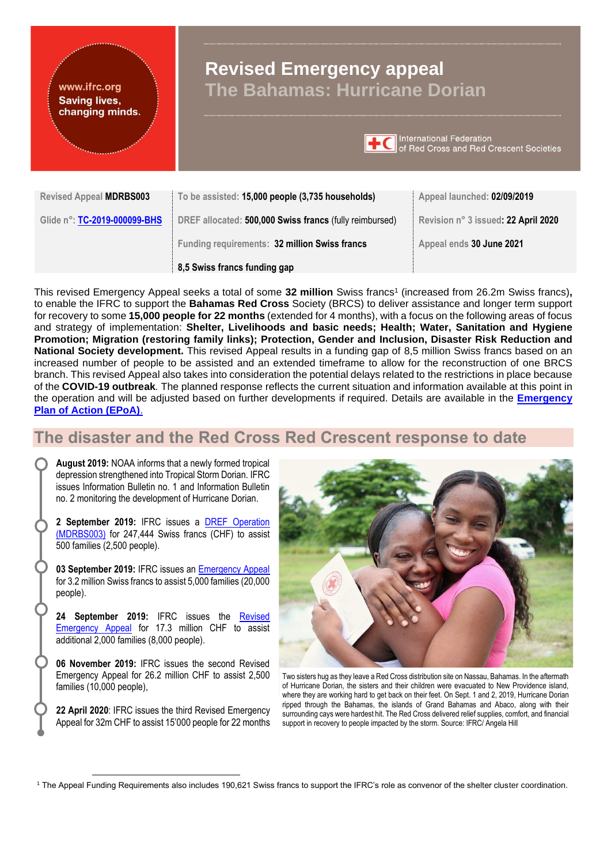

This revised Emergency Appeal seeks a total of some **32 million** Swiss francs<sup>1</sup> (increased from 26.2m Swiss francs)**,** to enable the IFRC to support the **Bahamas Red Cross** Society (BRCS) to deliver assistance and longer term support for recovery to some **15,000 people for 22 months** (extended for 4 months), with a focus on the following areas of focus and strategy of implementation: **Shelter, Livelihoods and basic needs; Health; Water, Sanitation and Hygiene Promotion; Migration (restoring family links); Protection, Gender and Inclusion, Disaster Risk Reduction and National Society development.** This revised Appeal results in a funding gap of 8,5 million Swiss francs based on an increased number of people to be assisted and an extended timeframe to allow for the reconstruction of one BRCS branch. This revised Appeal also takes into consideration the potential delays related to the restrictions in place because of the **COVID-19 outbreak***.* The planned response reflects the current situation and information available at this point in the operation and will be adjusted based on further developments if required. Details are available in the **[Emergency](http://adore.ifrc.org/Download.aspx?FileId=303961)  [Plan of Action \(EPoA\)](http://adore.ifrc.org/Download.aspx?FileId=303961)**.

# **The disaster and the Red Cross Red Crescent response to date**

**August 2019:** NOAA informs that a newly formed tropical depression strengthened into Tropical Storm Dorian. IFRC issues Information Bulletin no. 1 and Information Bulletin no. 2 monitoring the development of Hurricane Dorian.

**2 September 2019:** IFRC issues a [DREF Operation](http://adore.ifrc.org/Download.aspx?FileId=255402)  [\(MDRBS003\)](http://adore.ifrc.org/Download.aspx?FileId=255402) for 247,444 Swiss francs (CHF) to assist 500 families (2,500 people).

**03 September 2019:** IFRC issues an [Emergency](http://adore.ifrc.org/Download.aspx?FileId=255686) Appeal for 3.2 million Swiss francs to assist 5,000 families (20,000 people).

**24 September 2019:** IFRC issues the [Revised](http://adore.ifrc.org/Download.aspx?FileId=258989)  [Emergency Appeal](http://adore.ifrc.org/Download.aspx?FileId=258989) for 17.3 million CHF to assist additional 2,000 families (8,000 people).

**06 November 2019:** IFRC issues the second Revised Emergency Appeal for 26.2 million CHF to assist 2,500 families (10,000 people),

**22 April 2020**: IFRC issues the third Revised Emergency Appeal for 32m CHF to assist 15'000 people for 22 months



Two sisters hug as they leave a Red Cross distribution site on Nassau, Bahamas. In the aftermath of Hurricane Dorian, the sisters and their children were evacuated to New Providence island, where they are working hard to get back on their feet. On Sept. 1 and 2, 2019, Hurricane Dorian ripped through the Bahamas, the islands of Grand Bahamas and Abaco, along with their surrounding cays were hardest hit. The Red Cross delivered relief supplies, comfort, and financial support in recovery to people impacted by the storm. Source: IFRC/ Angela Hill

<sup>1</sup> The Appeal Funding Requirements also includes 190,621 Swiss francs to support the IFRC's role as convenor of the shelter cluster coordination.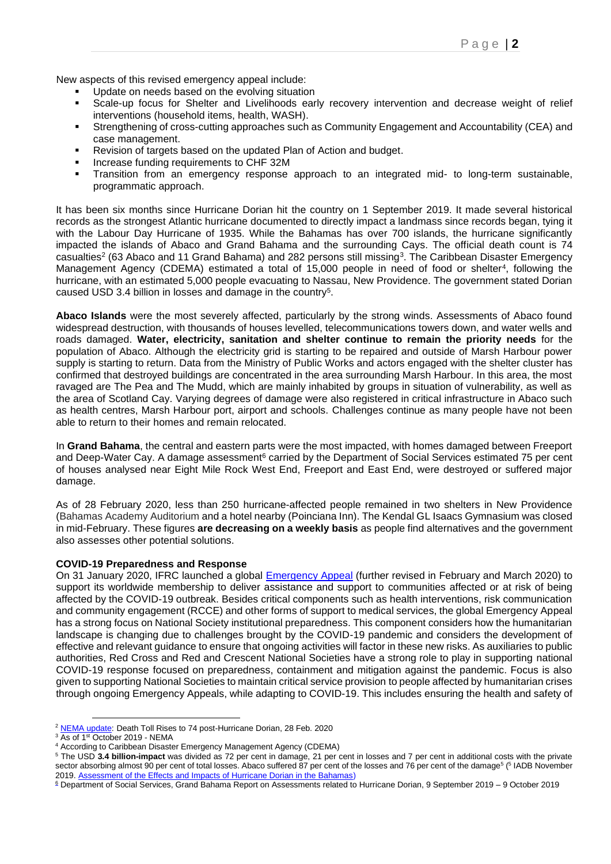New aspects of this revised emergency appeal include:

- Update on needs based on the evolving situation
- Scale-up focus for Shelter and Livelihoods early recovery intervention and decrease weight of relief interventions (household items, health, WASH).
- Strengthening of cross-cutting approaches such as Community Engagement and Accountability (CEA) and case management.
- Revision of targets based on the updated Plan of Action and budget.
- Increase funding requirements to CHF 32M
- Transition from an emergency response approach to an integrated mid- to long-term sustainable, programmatic approach.

It has been six months since Hurricane Dorian hit the country on 1 September 2019. It made several historical records as the strongest Atlantic hurricane documented to directly impact a landmass since records began, tying it with the Labour Day Hurricane of 1935. While the Bahamas has over 700 islands, the hurricane significantly impacted the islands of Abaco and Grand Bahama and the surrounding Cays. The official death count is 74 casualties<sup>2</sup> (63 Abaco and 11 Grand Bahama) and 282 persons still missing<sup>3</sup>. The Caribbean Disaster Emergency Management Agency (CDEMA) estimated a total of 15,000 people in need of food or shelter<sup>4</sup>, following the hurricane, with an estimated 5,000 people evacuating to Nassau, New Providence. The government stated Dorian caused USD 3.4 billion in losses and damage in the country<sup>5</sup>.

**Abaco Islands** were the most severely affected, particularly by the strong winds. Assessments of Abaco found widespread destruction, with thousands of houses levelled, telecommunications towers down, and water wells and roads damaged. **Water, electricity, sanitation and shelter continue to remain the priority needs** for the population of Abaco. Although the electricity grid is starting to be repaired and outside of Marsh Harbour power supply is starting to return. Data from the Ministry of Public Works and actors engaged with the shelter cluster has confirmed that destroyed buildings are concentrated in the area surrounding Marsh Harbour. In this area, the most ravaged are The Pea and The Mudd, which are mainly inhabited by groups in situation of vulnerability, as well as the area of Scotland Cay. Varying degrees of damage were also registered in critical infrastructure in Abaco such as health centres, Marsh Harbour port, airport and schools. Challenges continue as many people have not been able to return to their homes and remain relocated.

In **Grand Bahama**, the central and eastern parts were the most impacted, with homes damaged between Freeport and Deep-Water Cay. A damage assessment<sup>6</sup> carried by the Department of Social Services estimated 75 per cent of houses analysed near Eight Mile Rock West End, Freeport and East End, were destroyed or suffered major damage.

As of 28 February 2020, less than 250 hurricane-affected people remained in two shelters in New Providence (Bahamas Academy Auditorium and a hotel nearby (Poinciana Inn). The Kendal GL Isaacs Gymnasium was closed in mid-February. These figures **are decreasing on a weekly basis** as people find alternatives and the government also assesses other potential solutions.

#### **COVID-19 Preparedness and Response**

On 31 January 2020, IFRC launched a global [Emergency Appeal](https://www.ifrc.org/en/publications-and-reports/appeals/?ac=MDRCOVID19&at=0&c=&co=&dt=1&f=&re=&t=&ti=&zo=) (further revised in February and March 2020) to support its worldwide membership to deliver assistance and support to communities affected or at risk of being affected by the COVID-19 outbreak. Besides critical components such as health interventions, risk communication and community engagement (RCCE) and other forms of support to medical services, the global Emergency Appeal has a strong focus on National Society institutional preparedness. This component considers how the humanitarian landscape is changing due to challenges brought by the COVID-19 pandemic and considers the development of effective and relevant guidance to ensure that ongoing activities will factor in these new risks. As auxiliaries to public authorities, Red Cross and Red and Crescent National Societies have a strong role to play in supporting national COVID-19 response focused on preparedness, containment and mitigation against the pandemic. Focus is also given to supporting National Societies to maintain critical service provision to people affected by humanitarian crises through ongoing Emergency Appeals, while adapting to COVID-19. This includes ensuring the health and safety of

<sup>&</sup>lt;sup>2</sup> [NEMA update:](https://www.bahamas.gov.bs/wps/portal/public/gov/government/news/nema%20update%20death%20toll%20rises%20to%2074%20post-hurricane%20dorian/!ut/p/b1/vZbJkqM4EIafpR-AtgSI5Ygxm9lBrBcCDN4wxsYYME8_rpnp6K6OmqrDdBV5gYhMPulP_ZFapIt4kZ7z4bDL-0N7zk8v3ymTUUAxBYHmTE5mBKAFlEwhXaAUFy6iRbxO4HLVmjtJiobxlpwEn1Lu93EqLdM0xau1at0UEPf4og_ZdtD9FObz8qId9rBmKiLuVayt67NL9jkpHSuBkyslDvOz1onXStQe5bqYBMqPxFZrtc3huMY5ua69-_WRN3609SaIWjEwrAcOxMZzh5uyVnF25vZeYUmQ5o6zXKhjPPTs0gcUdT2PSezR2VFQ3HJ2MDGonP1Y1cK352aT52bBfzwCeK2FggDz1MIxBIdVSU5G_9a_k_BOvQ0_qLdp8P_qIfq4l-m7iJcV_J3wnkTv_kEnF8kzgf0lAYcAaBAIng9dwHlogRcxoDP_-Lhocz17RzDpfheBfuVOAIcGPmLXCk661evQkrgJ1uRsSSPAWLZwFwDTKpwy9IKlIDpBXMu_A20S80-gCBk9QMBXyM8GKsjmnhKw2BEQCYD45UD4WUDFNl3xRVK8fJGUUlWBMSgO0F8NZP44cL1ID0Xzfdw038F3kgeIgxzFkCzgSLQITwkzFTdzXEleNiV3Ia0P7T0cyK0m-pd8eVrvk13QGubkqNvTnPtdYM5UJY_eTGubJQoZdjvPt2zeSjteJdd7hIhNGutEf9RohxEPxiXaHEEUeLbyaPJS3KxZg6-q0Ea82SABzcapSOjpus-WirS30zuKVKs85lQghA3DRptatjy8pCYLR3yvTYc7STJduh1aNykzIWMuZ-aasMHKuEeXy95iKWiDlD5gSrxcbZN4FKFQ2daSWN6ccVfSRCwx2c7IkFTWC0ttm-oDG1tvnLnxYc2l5WMTgDkAeBX7ViGBWy9CU4JrKIGHKdGPZ0cMH9Skbxk_OkLYUt59YOO3ztyfBb52lWLDrwZSXyqp4tjg03f46tDQ7p_v4SsbczwDEcvRPMcAmubYRXhMALvitFHSnEy83S1eQY0LDiMn7xJ3XwV9u_F1nzh50CGcXLodpZkopBupd2NaF-5SOFxPllHM2ON4YE-losn-cee4rRQb-iy7Km2NkjLGjRCEwG4eA0EQdir2zc6K7_tLpVbr4BwSeTyj-Vo5NEUN-6J-KBsWOmbSk2FKlDfqeffZ3jySwXKnQNqT_W0SY7zZ3hTn2u-t3bdvH7iRZd8QdjKxC3HhAiCBya8738LSiPnU8o9PsQMAfPzyHkDchaZV_hBWqJZ7NvtoqFKfDfxtxgnMVwPRZwHfnnG2BL8a-Od7-MqNiIYI8ZDkn1OVZOHTjefnVM137vTPVKUMm71pS0s_zWN563bnPPZgdxODfV45BgUqaSstNSvh9826eZyc7SoO0WOOY7uKqO6u0NzmTJr4kne6TSD2vtrFtI6e7rKRHZPCyA0-w6zYici2V7oPhWbVOqVki-S6PZ18VthFcuKuwOHsHaKTyokm8qBftG7UIGZTFyqNcB-RQhDpvauEA0WW93W7uRpS3Qk0z8sTS45usL9ExWT7J5BSBnfnumzr9Lw3JNuqxItLM-i6bjCeOse_RKUMzc94Xjx-xvjtL5_Y0qY!/dl4/d5/L2dBISEvZ0FBIS9nQSEh/) Death Toll Rises to 74 post-Hurricane Dorian, 28 Feb. 2020

 $3 \overline{\text{As of 1st October 2019 - NEMA}}$ 

<sup>4</sup> According to Caribbean Disaster Emergency Management Agency (CDEMA)

<sup>5</sup> The USD **3.4 billion-impact** was divided as 72 per cent in damage, 21 per cent in losses and 7 per cent in additional costs with the private sector absorbing almost 90 per cent of total losses. Abaco suffered 87 per cent of the losses and 76 per cent of the damage<sup>5</sup> (<sup>5</sup> IADB November 2019. [Assessment of the Effects and Impacts of Hurricane Dorian in the Bahamas\)](http://idbdocs.iadb.org/wsdocs/getdocument.aspx?docnum=EZSHARE-1256154360-486)

<sup>&</sup>lt;sup>6</sup> Department of Social Services, Grand Bahama Report on Assessments related to Hurricane Dorian, 9 September 2019 – 9 October 2019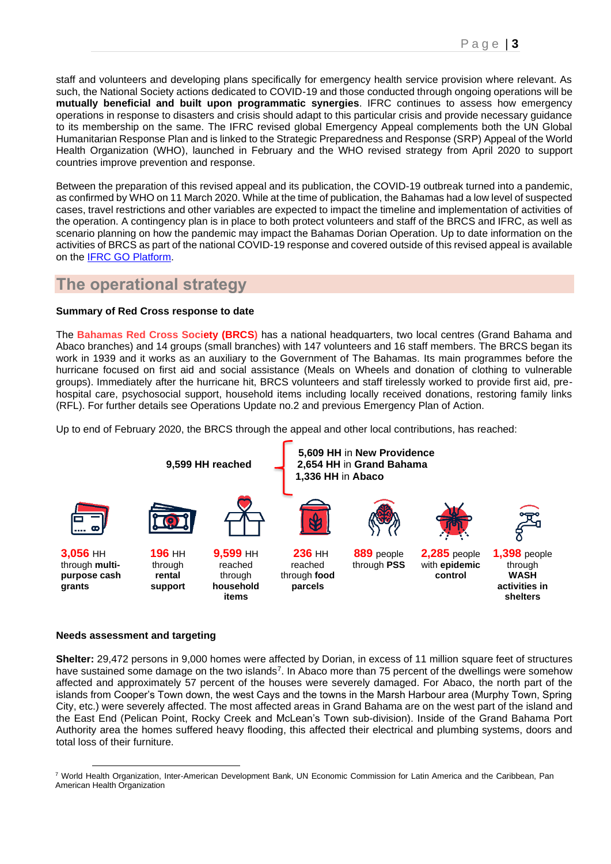staff and volunteers and developing plans specifically for emergency health service provision where relevant. As such, the National Society actions dedicated to COVID-19 and those conducted through ongoing operations will be **mutually beneficial and built upon programmatic synergies**. IFRC continues to assess how emergency operations in response to disasters and crisis should adapt to this particular crisis and provide necessary guidance to its membership on the same. The IFRC revised global Emergency Appeal complements both the UN Global Humanitarian Response Plan and is linked to the Strategic Preparedness and Response (SRP) Appeal of the World Health Organization (WHO), launched in February and the WHO revised strategy from April 2020 to support countries improve prevention and response.

Between the preparation of this revised appeal and its publication, the COVID-19 outbreak turned into a pandemic, as confirmed by WHO on 11 March 2020. While at the time of publication, the Bahamas had a low level of suspected cases, travel restrictions and other variables are expected to impact the timeline and implementation of activities of the operation. A contingency plan is in place to both protect volunteers and staff of the BRCS and IFRC, as well as scenario planning on how the pandemic may impact the Bahamas Dorian Operation. Up to date information on the activities of BRCS as part of the national COVID-19 response and covered outside of this revised appeal is available on the [IFRC GO Platform.](https://go.ifrc.org/emergencies/3972#details)

# **The operational strategy**

#### **Summary of Red Cross response to date**

The **Bahamas Red Cross Society (BRCS)** has a national headquarters, two local centres (Grand Bahama and Abaco branches) and 14 groups (small branches) with 147 volunteers and 16 staff members. The BRCS began its work in 1939 and it works as an auxiliary to the Government of The Bahamas. Its main programmes before the hurricane focused on first aid and social assistance (Meals on Wheels and donation of clothing to vulnerable groups). Immediately after the hurricane hit, BRCS volunteers and staff tirelessly worked to provide first aid, prehospital care, psychosocial support, household items including locally received donations, restoring family links (RFL). For further details see Operations Update no.2 and previous Emergency Plan of Action.

Up to end of February 2020, the BRCS through the appeal and other local contributions, has reached:



#### **Needs assessment and targeting**

**Shelter:** 29,472 persons in 9,000 homes were affected by Dorian, in excess of 11 million square feet of structures have sustained some damage on the two islands<sup>7</sup>. In Abaco more than 75 percent of the dwellings were somehow affected and approximately 57 percent of the houses were severely damaged. For Abaco, the north part of the islands from Cooper's Town down, the west Cays and the towns in the Marsh Harbour area (Murphy Town, Spring City, etc.) were severely affected. The most affected areas in Grand Bahama are on the west part of the island and the East End (Pelican Point, Rocky Creek and McLean's Town sub-division). Inside of the Grand Bahama Port Authority area the homes suffered heavy flooding, this affected their electrical and plumbing systems, doors and total loss of their furniture.

<sup>7</sup> World Health Organization, Inter-American Development Bank, UN Economic Commission for Latin America and the Caribbean, Pan American Health Organization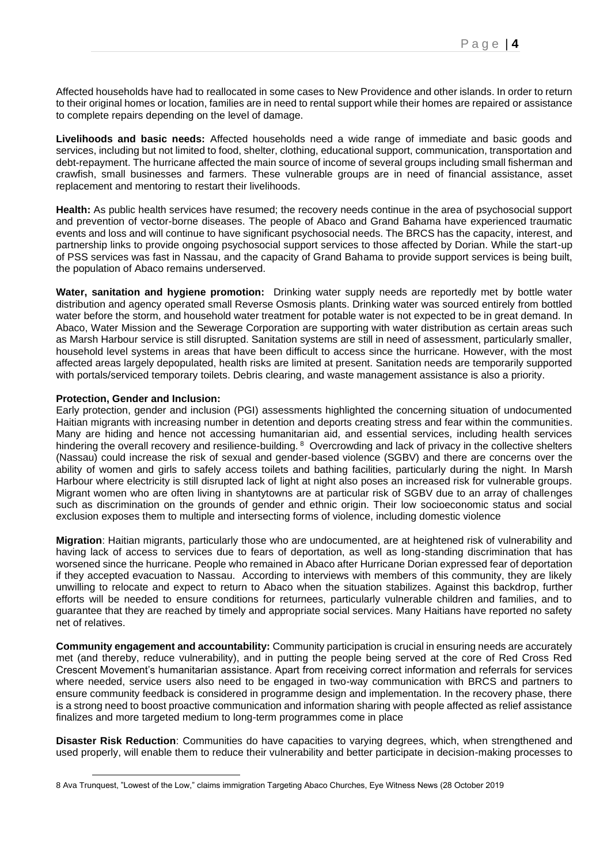Affected households have had to reallocated in some cases to New Providence and other islands. In order to return to their original homes or location, families are in need to rental support while their homes are repaired or assistance to complete repairs depending on the level of damage.

**Livelihoods and basic needs:** Affected households need a wide range of immediate and basic goods and services, including but not limited to food, shelter, clothing, educational support, communication, transportation and debt-repayment. The hurricane affected the main source of income of several groups including small fisherman and crawfish, small businesses and farmers. These vulnerable groups are in need of financial assistance, asset replacement and mentoring to restart their livelihoods.

**Health:** As public health services have resumed; the recovery needs continue in the area of psychosocial support and prevention of vector-borne diseases. The people of Abaco and Grand Bahama have experienced traumatic events and loss and will continue to have significant psychosocial needs. The BRCS has the capacity, interest, and partnership links to provide ongoing psychosocial support services to those affected by Dorian. While the start-up of PSS services was fast in Nassau, and the capacity of Grand Bahama to provide support services is being built, the population of Abaco remains underserved.

**Water, sanitation and hygiene promotion:** Drinking water supply needs are reportedly met by bottle water distribution and agency operated small Reverse Osmosis plants. Drinking water was sourced entirely from bottled water before the storm, and household water treatment for potable water is not expected to be in great demand. In Abaco, Water Mission and the Sewerage Corporation are supporting with water distribution as certain areas such as Marsh Harbour service is still disrupted. Sanitation systems are still in need of assessment, particularly smaller, household level systems in areas that have been difficult to access since the hurricane. However, with the most affected areas largely depopulated, health risks are limited at present. Sanitation needs are temporarily supported with portals/serviced temporary toilets. Debris clearing, and waste management assistance is also a priority.

#### **Protection, Gender and Inclusion:**

Early protection, gender and inclusion (PGI) assessments highlighted the concerning situation of undocumented Haitian migrants with increasing number in detention and deports creating stress and fear within the communities. Many are hiding and hence not accessing humanitarian aid, and essential services, including health services hindering the overall recovery and resilience-building. <sup>8</sup> Overcrowding and lack of privacy in the collective shelters (Nassau) could increase the risk of sexual and gender-based violence (SGBV) and there are concerns over the ability of women and girls to safely access toilets and bathing facilities, particularly during the night. In Marsh Harbour where electricity is still disrupted lack of light at night also poses an increased risk for vulnerable groups. Migrant women who are often living in shantytowns are at particular risk of SGBV due to an array of challenges such as discrimination on the grounds of gender and ethnic origin. Their low socioeconomic status and social exclusion exposes them to multiple and intersecting forms of violence, including domestic violence

**Migration**: Haitian migrants, particularly those who are undocumented, are at heightened risk of vulnerability and having lack of access to services due to fears of deportation, as well as long-standing discrimination that has worsened since the hurricane. People who remained in Abaco after Hurricane Dorian expressed fear of deportation if they accepted evacuation to Nassau. According to interviews with members of this community, they are likely unwilling to relocate and expect to return to Abaco when the situation stabilizes. Against this backdrop, further efforts will be needed to ensure conditions for returnees, particularly vulnerable children and families, and to guarantee that they are reached by timely and appropriate social services. Many Haitians have reported no safety net of relatives.

**Community engagement and accountability:** Community participation is crucial in ensuring needs are accurately met (and thereby, reduce vulnerability), and in putting the people being served at the core of Red Cross Red Crescent Movement's humanitarian assistance. Apart from receiving correct information and referrals for services where needed, service users also need to be engaged in two-way communication with BRCS and partners to ensure community feedback is considered in programme design and implementation. In the recovery phase, there is a strong need to boost proactive communication and information sharing with people affected as relief assistance finalizes and more targeted medium to long-term programmes come in place

**Disaster Risk Reduction**: Communities do have capacities to varying degrees, which, when strengthened and used properly, will enable them to reduce their vulnerability and better participate in decision-making processes to

<sup>8</sup> [Ava Trunquest, "Lowest of the Low," claims immigration Targeting Abaco Churches, Eye Witness News \(28 October 2019](https://ewnews.com/lowest-of-the-low-claims-immigration-targeting-churches)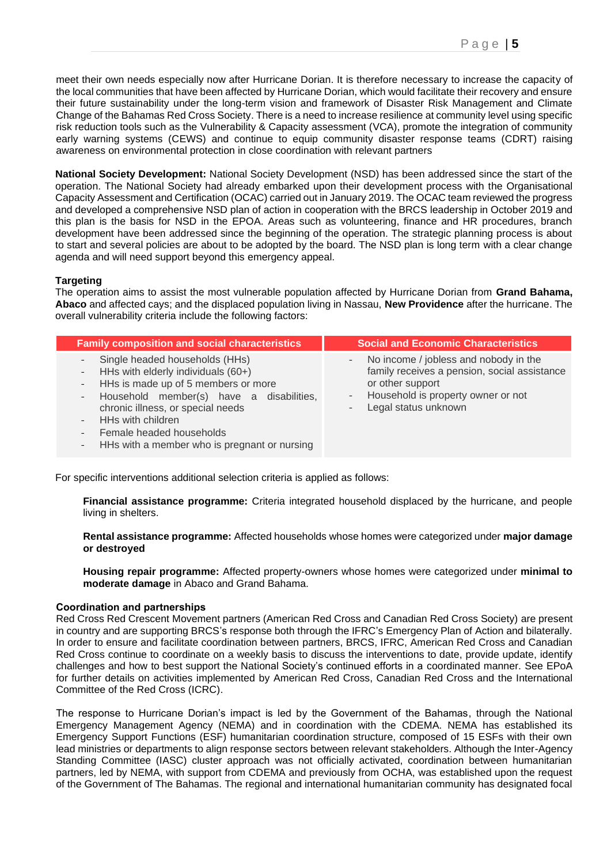meet their own needs especially now after Hurricane Dorian. It is therefore necessary to increase the capacity of the local communities that have been affected by Hurricane Dorian, which would facilitate their recovery and ensure their future sustainability under the long-term vision and framework of Disaster Risk Management and Climate Change of the Bahamas Red Cross Society. There is a need to increase resilience at community level using specific risk reduction tools such as the Vulnerability & Capacity assessment (VCA), promote the integration of community early warning systems (CEWS) and continue to equip community disaster response teams (CDRT) raising awareness on environmental protection in close coordination with relevant partners

**National Society Development:** National Society Development (NSD) has been addressed since the start of the operation. The National Society had already embarked upon their development process with the Organisational Capacity Assessment and Certification (OCAC) carried out in January 2019. The OCAC team reviewed the progress and developed a comprehensive NSD plan of action in cooperation with the BRCS leadership in October 2019 and this plan is the basis for NSD in the EPOA. Areas such as volunteering, finance and HR procedures, branch development have been addressed since the beginning of the operation. The strategic planning process is about to start and several policies are about to be adopted by the board. The NSD plan is long term with a clear change agenda and will need support beyond this emergency appeal.

#### **Targeting**

The operation aims to assist the most vulnerable population affected by Hurricane Dorian from **Grand Bahama, Abaco** and affected cays; and the displaced population living in Nassau, **New Providence** after the hurricane. The overall vulnerability criteria include the following factors:

| <b>Family composition and social characteristics</b>                                                                                                                                                                                                                                                        | <b>Social and Economic Characteristics</b>                                                                                                                                                   |
|-------------------------------------------------------------------------------------------------------------------------------------------------------------------------------------------------------------------------------------------------------------------------------------------------------------|----------------------------------------------------------------------------------------------------------------------------------------------------------------------------------------------|
| - Single headed households (HHs)<br>- HHs with elderly individuals (60+)<br>- HHs is made up of 5 members or more<br>- Household member(s) have a disabilities,<br>chronic illness, or special needs<br>- HHs with children<br>- Female headed households<br>- HHs with a member who is pregnant or nursing | No income / jobless and nobody in the<br>-<br>family receives a pension, social assistance<br>or other support<br>- Household is property owner or not<br>Legal status unknown<br>$\sim 100$ |

For specific interventions additional selection criteria is applied as follows:

**Financial assistance programme:** Criteria integrated household displaced by the hurricane, and people living in shelters.

**Rental assistance programme:** Affected households whose homes were categorized under **major damage or destroyed**

**Housing repair programme:** Affected property-owners whose homes were categorized under **minimal to moderate damage** in Abaco and Grand Bahama.

#### **Coordination and partnerships**

Red Cross Red Crescent Movement partners (American Red Cross and Canadian Red Cross Society) are present in country and are supporting BRCS's response both through the IFRC's Emergency Plan of Action and bilaterally. In order to ensure and facilitate coordination between partners, BRCS, IFRC, American Red Cross and Canadian Red Cross continue to coordinate on a weekly basis to discuss the interventions to date, provide update, identify challenges and how to best support the National Society's continued efforts in a coordinated manner. See EPoA for further details on activities implemented by American Red Cross, Canadian Red Cross and the International Committee of the Red Cross (ICRC).

The response to Hurricane Dorian's impact is led by the Government of the Bahamas, through the National Emergency Management Agency (NEMA) and in coordination with the CDEMA. NEMA has established its Emergency Support Functions (ESF) humanitarian coordination structure, composed of 15 ESFs with their own lead ministries or departments to align response sectors between relevant stakeholders. Although the Inter-Agency Standing Committee (IASC) cluster approach was not officially activated, coordination between humanitarian partners, led by NEMA, with support from CDEMA and previously from OCHA, was established upon the request of the Government of The Bahamas. The regional and international humanitarian community has designated focal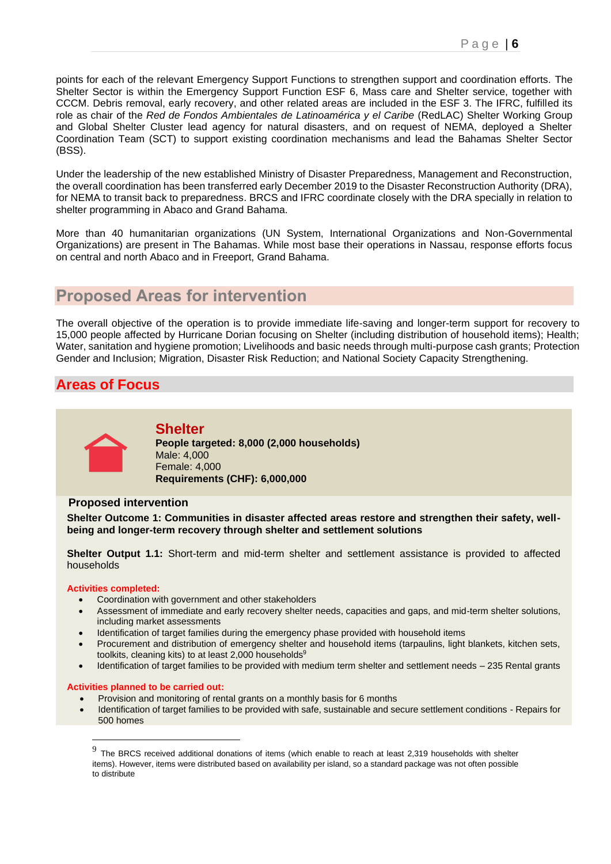points for each of the relevant Emergency Support Functions to strengthen support and coordination efforts. The Shelter Sector is within the Emergency Support Function ESF 6, Mass care and Shelter service, together with CCCM. Debris removal, early recovery, and other related areas are included in the ESF 3. The IFRC, fulfilled its role as chair of the *Red de Fondos Ambientales de Latinoamérica y el Caribe* (RedLAC) Shelter Working Group and Global Shelter Cluster lead agency for natural disasters, and on request of NEMA, deployed a Shelter Coordination Team (SCT) to support existing coordination mechanisms and lead the Bahamas Shelter Sector (BSS).

Under the leadership of the new established Ministry of Disaster Preparedness, Management and Reconstruction, the overall coordination has been transferred early December 2019 to the Disaster Reconstruction Authority (DRA), for NEMA to transit back to preparedness. BRCS and IFRC coordinate closely with the DRA specially in relation to shelter programming in Abaco and Grand Bahama.

More than 40 humanitarian organizations (UN System, International Organizations and Non-Governmental Organizations) are present in The Bahamas. While most base their operations in Nassau, response efforts focus on central and north Abaco and in Freeport, Grand Bahama.

# **Proposed Areas for intervention**

The overall objective of the operation is to provide immediate life-saving and longer-term support for recovery to 15,000 people affected by Hurricane Dorian focusing on Shelter (including distribution of household items); Health; Water, sanitation and hygiene promotion; Livelihoods and basic needs through multi-purpose cash grants; Protection Gender and Inclusion; Migration, Disaster Risk Reduction; and National Society Capacity Strengthening.

## **Areas of Focus**



#### **Shelter People targeted: 8,000 (2,000 households)** Male: 4,000 Female: 4,000 **Requirements (CHF): 6,000,000**

#### **Proposed intervention**

**Shelter Outcome 1: Communities in disaster affected areas restore and strengthen their safety, wellbeing and longer-term recovery through shelter and settlement solutions** 

**Shelter Output 1.1:** Short-term and mid-term shelter and settlement assistance is provided to affected households

#### **Activities completed:**

- Coordination with government and other stakeholders
- Assessment of immediate and early recovery shelter needs, capacities and gaps, and mid-term shelter solutions, including market assessments
- Identification of target families during the emergency phase provided with household items
- Procurement and distribution of emergency shelter and household items (tarpaulins, light blankets, kitchen sets, toolkits, cleaning kits) to at least 2,000 households<sup>9</sup>
- Identification of target families to be provided with medium term shelter and settlement needs 235 Rental grants

#### **Activities planned to be carried out:**

- Provision and monitoring of rental grants on a monthly basis for 6 months
- Identification of target families to be provided with safe, sustainable and secure settlement conditions Repairs for 500 homes

 $9$  The BRCS received additional donations of items (which enable to reach at least 2,319 households with shelter items). However, items were distributed based on availability per island, so a standard package was not often possible to distribute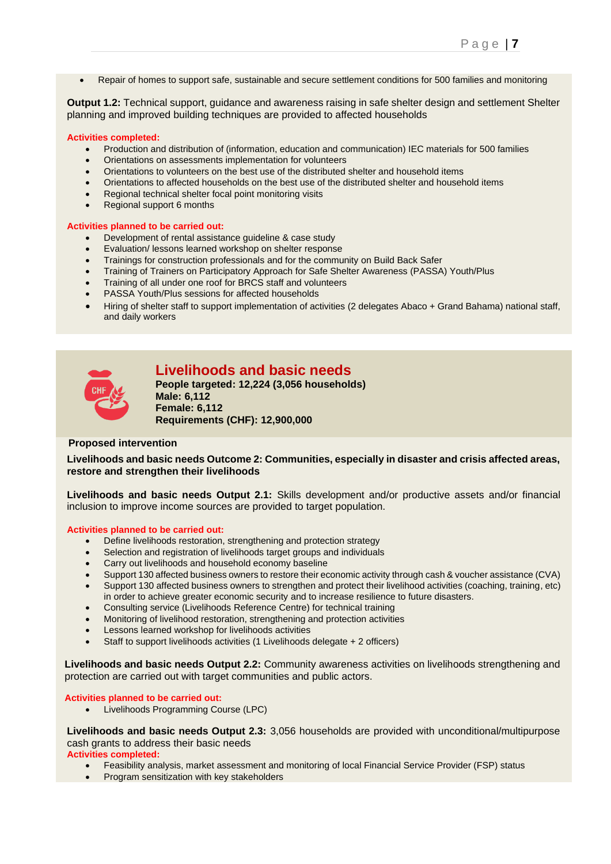• Repair of homes to support safe, sustainable and secure settlement conditions for 500 families and monitoring

**Output 1.2:** Technical support, guidance and awareness raising in safe shelter design and settlement Shelter planning and improved building techniques are provided to affected households

#### **Activities completed:**

- Production and distribution of (information, education and communication) IEC materials for 500 families
- Orientations on assessments implementation for volunteers
- Orientations to volunteers on the best use of the distributed shelter and household items
- Orientations to affected households on the best use of the distributed shelter and household items
- Regional technical shelter focal point monitoring visits
- Regional support 6 months

#### **Activities planned to be carried out:**

- Development of rental assistance guideline & case study
- Evaluation/ lessons learned workshop on shelter response
- Trainings for construction professionals and for the community on Build Back Safer
- Training of Trainers on Participatory Approach for Safe Shelter Awareness (PASSA) Youth/Plus
- Training of all under one roof for BRCS staff and volunteers
- PASSA Youth/Plus sessions for affected households
- Hiring of shelter staff to support implementation of activities (2 delegates Abaco + Grand Bahama) national staff, and daily workers



## **Livelihoods and basic needs**

**People targeted: 12,224 (3,056 households) Male: 6,112 Female: 6,112 Requirements (CHF): 12,900,000**

#### **Proposed intervention**

**Livelihoods and basic needs Outcome 2: Communities, especially in disaster and crisis affected areas, restore and strengthen their livelihoods** 

**Livelihoods and basic needs Output 2.1:** Skills development and/or productive assets and/or financial inclusion to improve income sources are provided to target population.

#### **Activities planned to be carried out:**

- Define livelihoods restoration, strengthening and protection strategy
- Selection and registration of livelihoods target groups and individuals
- Carry out livelihoods and household economy baseline
- Support 130 affected business owners to restore their economic activity through cash & voucher assistance (CVA)
- Support 130 affected business owners to strengthen and protect their livelihood activities (coaching, training, etc) in order to achieve greater economic security and to increase resilience to future disasters.
- Consulting service (Livelihoods Reference Centre) for technical training
- Monitoring of livelihood restoration, strengthening and protection activities
- Lessons learned workshop for livelihoods activities
- Staff to support livelihoods activities (1 Livelihoods delegate + 2 officers)

**Livelihoods and basic needs Output 2.2:** Community awareness activities on livelihoods strengthening and protection are carried out with target communities and public actors.

#### **Activities planned to be carried out:**

• Livelihoods Programming Course (LPC)

**Livelihoods and basic needs Output 2.3:** 3,056 households are provided with unconditional/multipurpose cash grants to address their basic needs

#### **Activities completed:**

- Feasibility analysis, market assessment and monitoring of local Financial Service Provider (FSP) status
- Program sensitization with key stakeholders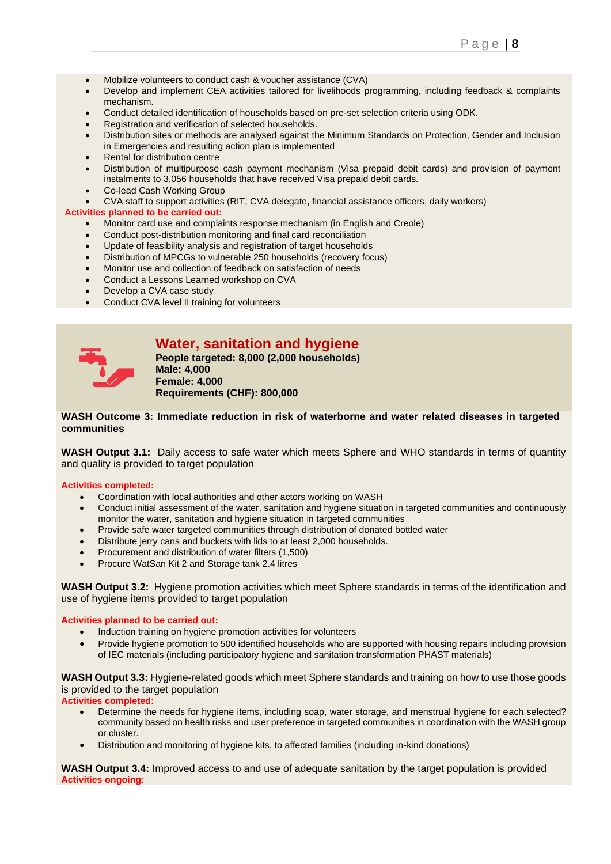- Mobilize volunteers to conduct cash & voucher assistance (CVA)
- Develop and implement CEA activities tailored for livelihoods programming, including feedback & complaints mechanism.
- Conduct detailed identification of households based on pre-set selection criteria using ODK.
- Registration and verification of selected households.
- Distribution sites or methods are analysed against the Minimum Standards on Protection, Gender and Inclusion in Emergencies and resulting action plan is implemented
- Rental for distribution centre
- Distribution of multipurpose cash payment mechanism (Visa prepaid debit cards) and provision of payment instalments to 3,056 households that have received Visa prepaid debit cards.
- Co-lead Cash Working Group
- CVA staff to support activities (RIT, CVA delegate, financial assistance officers, daily workers)

#### **Activities planned to be carried out:**

- Monitor card use and complaints response mechanism (in English and Creole)
- Conduct post-distribution monitoring and final card reconciliation
- Update of feasibility analysis and registration of target households
- Distribution of MPCGs to vulnerable 250 households (recovery focus)
- Monitor use and collection of feedback on satisfaction of needs
- Conduct a Lessons Learned workshop on CVA
- Develop a CVA case study
- Conduct CVA level II training for volunteers

| ٠ |  |
|---|--|
|   |  |

### **Water, sanitation and hygiene**

**People targeted: 8,000 (2,000 households) Male: 4,000 Female: 4,000 Requirements (CHF): 800,000**

#### **WASH Outcome 3: Immediate reduction in risk of waterborne and water related diseases in targeted communities**

**WASH Output 3.1:** Daily access to safe water which meets Sphere and WHO standards in terms of quantity and quality is provided to target population

#### **Activities completed:**

- Coordination with local authorities and other actors working on WASH
- Conduct initial assessment of the water, sanitation and hygiene situation in targeted communities and continuously monitor the water, sanitation and hygiene situation in targeted communities
- Provide safe water targeted communities through distribution of donated bottled water
- Distribute jerry cans and buckets with lids to at least 2,000 households.
- Procurement and distribution of water filters (1,500)
- Procure WatSan Kit 2 and Storage tank 2.4 litres

**WASH Output 3.2:** Hygiene promotion activities which meet Sphere standards in terms of the identification and use of hygiene items provided to target population

#### **Activities planned to be carried out:**

- Induction training on hygiene promotion activities for volunteers
- Provide hygiene promotion to 500 identified households who are supported with housing repairs including provision of IEC materials (including participatory hygiene and sanitation transformation PHAST materials)

**WASH Output 3.3:** Hygiene-related goods which meet Sphere standards and training on how to use those goods is provided to the target population

**Activities completed:**

- Determine the needs for hygiene items, including soap, water storage, and menstrual hygiene for each selected? community based on health risks and user preference in targeted communities in coordination with the WASH group or cluster.
- Distribution and monitoring of hygiene kits, to affected families (including in-kind donations)

**WASH Output 3.4:** Improved access to and use of adequate sanitation by the target population is provided **Activities ongoing:**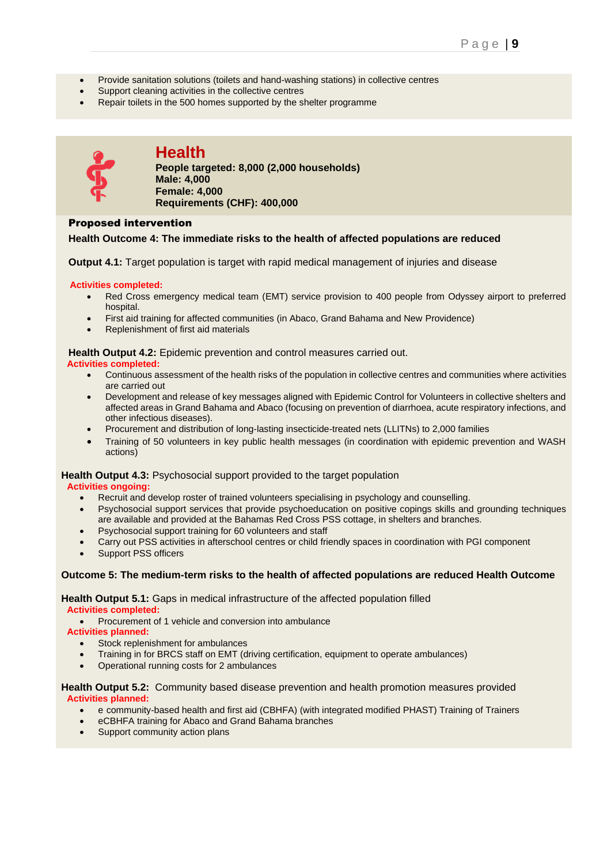- Provide sanitation solutions (toilets and hand-washing stations) in collective centres
- Support cleaning activities in the collective centres
- Repair toilets in the 500 homes supported by the shelter programme



# **Health**

**People targeted: 8,000 (2,000 households) Male: 4,000 Female: 4,000 Requirements (CHF): 400,000**

#### Proposed intervention

#### **Health Outcome 4: The immediate risks to the health of affected populations are reduced**

**Output 4.1:** Target population is target with rapid medical management of injuries and disease

#### **Activities completed:**

- Red Cross emergency medical team (EMT) service provision to 400 people from Odyssey airport to preferred hospital.
- First aid training for affected communities (in Abaco, Grand Bahama and New Providence)
- Replenishment of first aid materials

**Health Output 4.2:** Epidemic prevention and control measures carried out.

#### **Activities completed:**

- Continuous assessment of the health risks of the population in collective centres and communities where activities are carried out
- Development and release of key messages aligned with Epidemic Control for Volunteers in collective shelters and affected areas in Grand Bahama and Abaco (focusing on prevention of diarrhoea, acute respiratory infections, and other infectious diseases).
- Procurement and distribution of long-lasting insecticide-treated nets (LLITNs) to 2,000 families
- Training of 50 volunteers in key public health messages (in coordination with epidemic prevention and WASH actions)

#### **Health Output 4.3:** Psychosocial support provided to the target population

#### **Activities ongoing:**

- Recruit and develop roster of trained volunteers specialising in psychology and counselling.
- Psychosocial support services that provide psychoeducation on positive copings skills and grounding techniques are available and provided at the Bahamas Red Cross PSS cottage, in shelters and branches.
- Psychosocial support training for 60 volunteers and staff
- Carry out PSS activities in afterschool centres or child friendly spaces in coordination with PGI component
- Support PSS officers

#### **Outcome 5: The medium-term risks to the health of affected populations are reduced Health Outcome**

#### **Health Output 5.1:** Gaps in medical infrastructure of the affected population filled **Activities completed:**

• Procurement of 1 vehicle and conversion into ambulance

**Activities planned:**

- Stock replenishment for ambulances
- Training in for BRCS staff on EMT (driving certification, equipment to operate ambulances)
- Operational running costs for 2 ambulances

#### **Health Output 5.2:** Community based disease prevention and health promotion measures provided **Activities planned:**

- e community-based health and first aid (CBHFA) (with integrated modified PHAST) Training of Trainers
- eCBHFA training for Abaco and Grand Bahama branches
- Support community action plans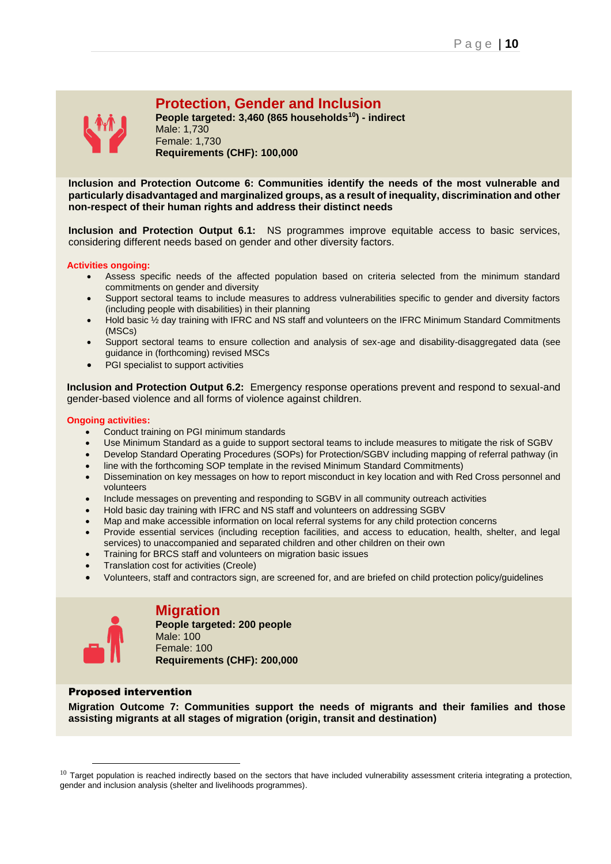

# **Protection, Gender and Inclusion**

**People targeted: 3,460 (865 households<sup>10</sup>) - indirect** Male: 1,730 Female: 1,730 **Requirements (CHF): 100,000**

**Inclusion and Protection Outcome 6: Communities identify the needs of the most vulnerable and particularly disadvantaged and marginalized groups, as a result of inequality, discrimination and other non-respect of their human rights and address their distinct needs** 

**Inclusion and Protection Output 6.1:** NS programmes improve equitable access to basic services, considering different needs based on gender and other diversity factors.

#### **Activities ongoing:**

- Assess specific needs of the affected population based on criteria selected from the minimum standard commitments on gender and diversity
- Support sectoral teams to include measures to address vulnerabilities specific to gender and diversity factors (including people with disabilities) in their planning
- Hold basic 1/2 day training with IFRC and NS staff and volunteers on the IFRC Minimum Standard Commitments (MSCs)
- Support sectoral teams to ensure collection and analysis of sex-age and disability-disaggregated data (see guidance in (forthcoming) revised MSCs
- PGI specialist to support activities

**Inclusion and Protection Output 6.2:** Emergency response operations prevent and respond to sexual-and gender-based violence and all forms of violence against children.

#### **Ongoing activities:**

- Conduct training on PGI minimum standards
- Use Minimum Standard as a guide to support sectoral teams to include measures to mitigate the risk of SGBV
- Develop Standard Operating Procedures (SOPs) for Protection/SGBV including mapping of referral pathway (in
- line with the forthcoming SOP template in the revised Minimum Standard Commitments)
- Dissemination on key messages on how to report misconduct in key location and with Red Cross personnel and volunteers
- Include messages on preventing and responding to SGBV in all community outreach activities
- Hold basic day training with IFRC and NS staff and volunteers on addressing SGBV
- Map and make accessible information on local referral systems for any child protection concerns
- Provide essential services (including reception facilities, and access to education, health, shelter, and legal services) to unaccompanied and separated children and other children on their own
- Training for BRCS staff and volunteers on migration basic issues
- Translation cost for activities (Creole)
- Volunteers, staff and contractors sign, are screened for, and are briefed on child protection policy/guidelines



### **Migration**

**People targeted: 200 people**  Male: 100 Female: 100 **Requirements (CHF): 200,000**

#### Proposed intervention

**Migration Outcome 7: Communities support the needs of migrants and their families and those assisting migrants at all stages of migration (origin, transit and destination)**

 $10$  Target population is reached indirectly based on the sectors that have included vulnerability assessment criteria integrating a protection, gender and inclusion analysis (shelter and livelihoods programmes).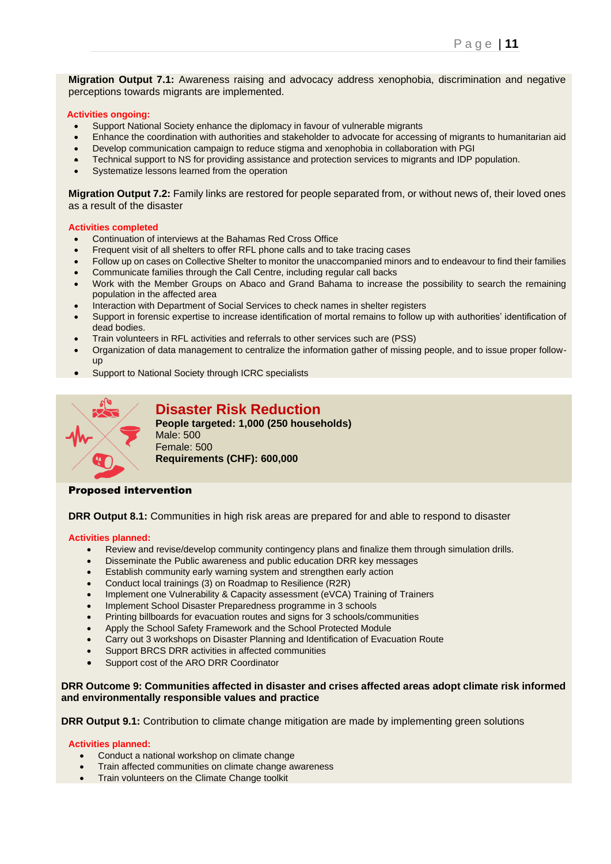**Migration Output 7.1:** Awareness raising and advocacy address xenophobia, discrimination and negative perceptions towards migrants are implemented.

#### **Activities ongoing:**

- Support National Society enhance the diplomacy in favour of vulnerable migrants
- Enhance the coordination with authorities and stakeholder to advocate for accessing of migrants to humanitarian aid
- Develop communication campaign to reduce stigma and xenophobia in collaboration with PGI
- Technical support to NS for providing assistance and protection services to migrants and IDP population.
- Systematize lessons learned from the operation

**Migration Output 7.2:** Family links are restored for people separated from, or without news of, their loved ones as a result of the disaster

#### **Activities completed**

- Continuation of interviews at the Bahamas Red Cross Office
- Frequent visit of all shelters to offer RFL phone calls and to take tracing cases
- Follow up on cases on Collective Shelter to monitor the unaccompanied minors and to endeavour to find their families
- Communicate families through the Call Centre, including regular call backs
- Work with the Member Groups on Abaco and Grand Bahama to increase the possibility to search the remaining population in the affected area
- Interaction with Department of Social Services to check names in shelter registers
- Support in forensic expertise to increase identification of mortal remains to follow up with authorities' identification of dead bodies.
- Train volunteers in RFL activities and referrals to other services such are (PSS)
- Organization of data management to centralize the information gather of missing people, and to issue proper followup
- Support to National Society through ICRC specialists



## **Disaster Risk Reduction**

**People targeted: 1,000 (250 households)** Male: 500 Female: 500 **Requirements (CHF): 600,000**

#### Proposed intervention

**DRR Output 8.1:** Communities in high risk areas are prepared for and able to respond to disaster

#### **Activities planned:**

- Review and revise/develop community contingency plans and finalize them through simulation drills.
- Disseminate the Public awareness and public education DRR key messages
- Establish community early warning system and strengthen early action
- Conduct local trainings (3) on Roadmap to Resilience (R2R)
- Implement one Vulnerability & Capacity assessment (eVCA) Training of Trainers
- Implement School Disaster Preparedness programme in 3 schools
- Printing billboards for evacuation routes and signs for 3 schools/communities
- Apply the School Safety Framework and the School Protected Module
- Carry out 3 workshops on Disaster Planning and Identification of Evacuation Route
- Support BRCS DRR activities in affected communities
- Support cost of the ARO DRR Coordinator

#### **DRR Outcome 9: Communities affected in disaster and crises affected areas adopt climate risk informed and environmentally responsible values and practice**

**DRR Output 9.1:** Contribution to climate change mitigation are made by implementing green solutions

#### **Activities planned:**

- Conduct a national workshop on climate change
- Train affected communities on climate change awareness
- Train volunteers on the Climate Change toolkit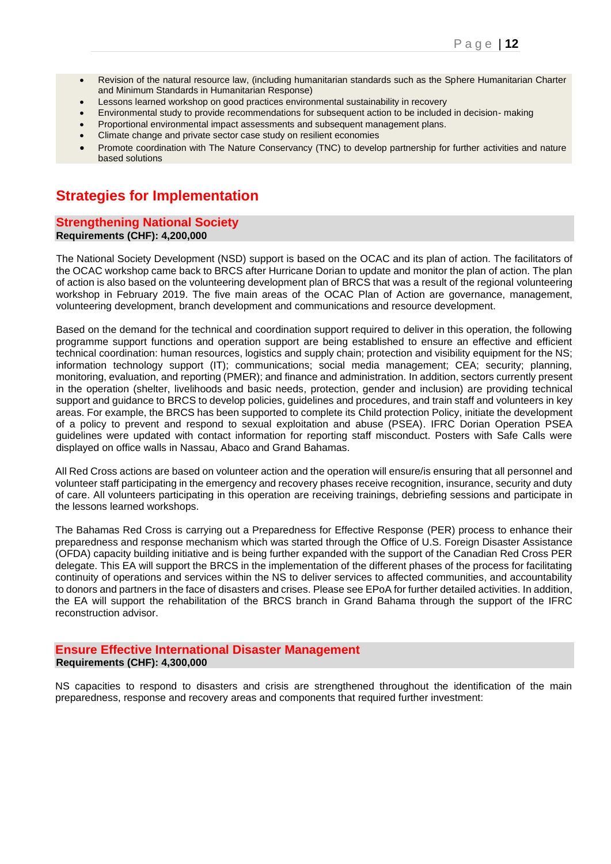- Revision of the natural resource law, (including humanitarian standards such as the Sphere Humanitarian Charter and Minimum Standards in Humanitarian Response)
- Lessons learned workshop on good practices environmental sustainability in recovery
- Environmental study to provide recommendations for subsequent action to be included in decision- making
- Proportional environmental impact assessments and subsequent management plans.
- Climate change and private sector case study on resilient economies
- Promote coordination with The Nature Conservancy (TNC) to develop partnership for further activities and nature based solutions

# **Strategies for Implementation**

#### **Strengthening National Society Requirements (CHF): 4,200,000**

The National Society Development (NSD) support is based on the OCAC and its plan of action. The facilitators of the OCAC workshop came back to BRCS after Hurricane Dorian to update and monitor the plan of action. The plan of action is also based on the volunteering development plan of BRCS that was a result of the regional volunteering workshop in February 2019. The five main areas of the OCAC Plan of Action are governance, management, volunteering development, branch development and communications and resource development.

Based on the demand for the technical and coordination support required to deliver in this operation, the following programme support functions and operation support are being established to ensure an effective and efficient technical coordination: human resources, logistics and supply chain; protection and visibility equipment for the NS; information technology support (IT); communications; social media management; CEA; security; planning, monitoring, evaluation, and reporting (PMER); and finance and administration. In addition, sectors currently present in the operation (shelter, livelihoods and basic needs, protection, gender and inclusion) are providing technical support and guidance to BRCS to develop policies, guidelines and procedures, and train staff and volunteers in key areas. For example, the BRCS has been supported to complete its Child protection Policy, initiate the development of a policy to prevent and respond to sexual exploitation and abuse (PSEA). IFRC Dorian Operation PSEA guidelines were updated with contact information for reporting staff misconduct. Posters with Safe Calls were displayed on office walls in Nassau, Abaco and Grand Bahamas.

All Red Cross actions are based on volunteer action and the operation will ensure/is ensuring that all personnel and volunteer staff participating in the emergency and recovery phases receive recognition, insurance, security and duty of care. All volunteers participating in this operation are receiving trainings, debriefing sessions and participate in the lessons learned workshops.

The Bahamas Red Cross is carrying out a Preparedness for Effective Response (PER) process to enhance their preparedness and response mechanism which was started through the Office of U.S. Foreign Disaster Assistance (OFDA) capacity building initiative and is being further expanded with the support of the Canadian Red Cross PER delegate. This EA will support the BRCS in the implementation of the different phases of the process for facilitating continuity of operations and services within the NS to deliver services to affected communities, and accountability to donors and partners in the face of disasters and crises. Please see EPoA for further detailed activities. In addition, the EA will support the rehabilitation of the BRCS branch in Grand Bahama through the support of the IFRC reconstruction advisor.

#### **Ensure Effective International Disaster Management Requirements (CHF): 4,300,000**

NS capacities to respond to disasters and crisis are strengthened throughout the identification of the main preparedness, response and recovery areas and components that required further investment: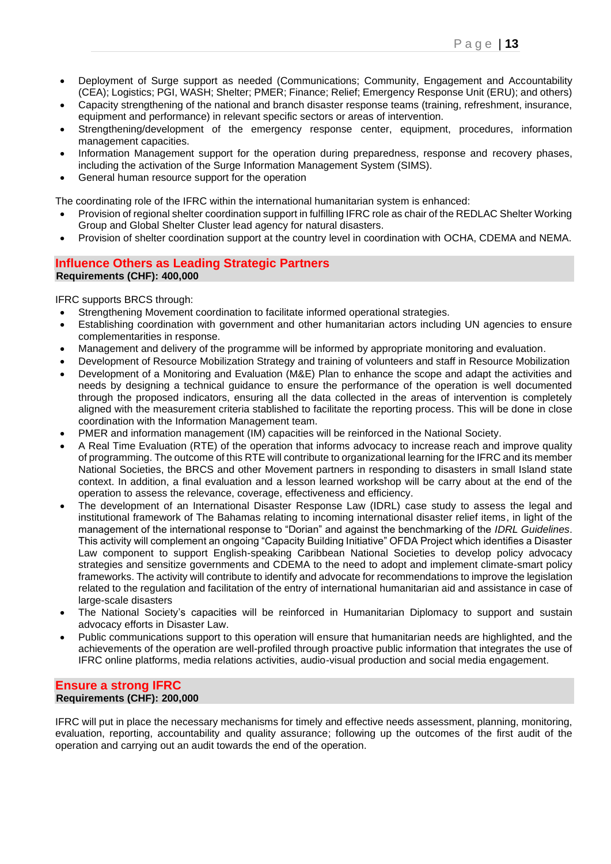- Deployment of Surge support as needed (Communications; Community, Engagement and Accountability (CEA); Logistics; PGI, WASH; Shelter; PMER; Finance; Relief; Emergency Response Unit (ERU); and others)
- Capacity strengthening of the national and branch disaster response teams (training, refreshment, insurance, equipment and performance) in relevant specific sectors or areas of intervention.
- Strengthening/development of the emergency response center, equipment, procedures, information management capacities.
- Information Management support for the operation during preparedness, response and recovery phases, including the activation of the Surge Information Management System (SIMS).
- General human resource support for the operation

The coordinating role of the IFRC within the international humanitarian system is enhanced:

- Provision of regional shelter coordination support in fulfilling IFRC role as chair of the REDLAC Shelter Working Group and Global Shelter Cluster lead agency for natural disasters.
- Provision of shelter coordination support at the country level in coordination with OCHA, CDEMA and NEMA.

#### **Influence Others as Leading Strategic Partners Requirements (CHF): 400,000**

IFRC supports BRCS through:

- Strengthening Movement coordination to facilitate informed operational strategies.
- Establishing coordination with government and other humanitarian actors including UN agencies to ensure complementarities in response.
- Management and delivery of the programme will be informed by appropriate monitoring and evaluation.
- Development of Resource Mobilization Strategy and training of volunteers and staff in Resource Mobilization
- Development of a Monitoring and Evaluation (M&E) Plan to enhance the scope and adapt the activities and needs by designing a technical guidance to ensure the performance of the operation is well documented through the proposed indicators, ensuring all the data collected in the areas of intervention is completely aligned with the measurement criteria stablished to facilitate the reporting process. This will be done in close coordination with the Information Management team.
- PMER and information management (IM) capacities will be reinforced in the National Society.
- A Real Time Evaluation (RTE) of the operation that informs advocacy to increase reach and improve quality of programming. The outcome of this RTE will contribute to organizational learning for the IFRC and its member National Societies, the BRCS and other Movement partners in responding to disasters in small Island state context. In addition, a final evaluation and a lesson learned workshop will be carry about at the end of the operation to assess the relevance, coverage, effectiveness and efficiency.
- The development of an International Disaster Response Law (IDRL) case study to assess the legal and institutional framework of The Bahamas relating to incoming international disaster relief items, in light of the management of the international response to "Dorian" and against the benchmarking of the *IDRL Guidelines*. This activity will complement an ongoing "Capacity Building Initiative" OFDA Project which identifies a Disaster Law component to support English-speaking Caribbean National Societies to develop policy advocacy strategies and sensitize governments and CDEMA to the need to adopt and implement climate-smart policy frameworks. The activity will contribute to identify and advocate for recommendations to improve the legislation related to the regulation and facilitation of the entry of international humanitarian aid and assistance in case of large-scale disasters
- The National Society's capacities will be reinforced in Humanitarian Diplomacy to support and sustain advocacy efforts in Disaster Law.
- Public communications support to this operation will ensure that humanitarian needs are highlighted, and the achievements of the operation are well-profiled through proactive public information that integrates the use of IFRC online platforms, media relations activities, audio-visual production and social media engagement.

#### **Ensure a strong IFRC Requirements (CHF): 200,000**

IFRC will put in place the necessary mechanisms for timely and effective needs assessment, planning, monitoring, evaluation, reporting, accountability and quality assurance; following up the outcomes of the first audit of the operation and carrying out an audit towards the end of the operation.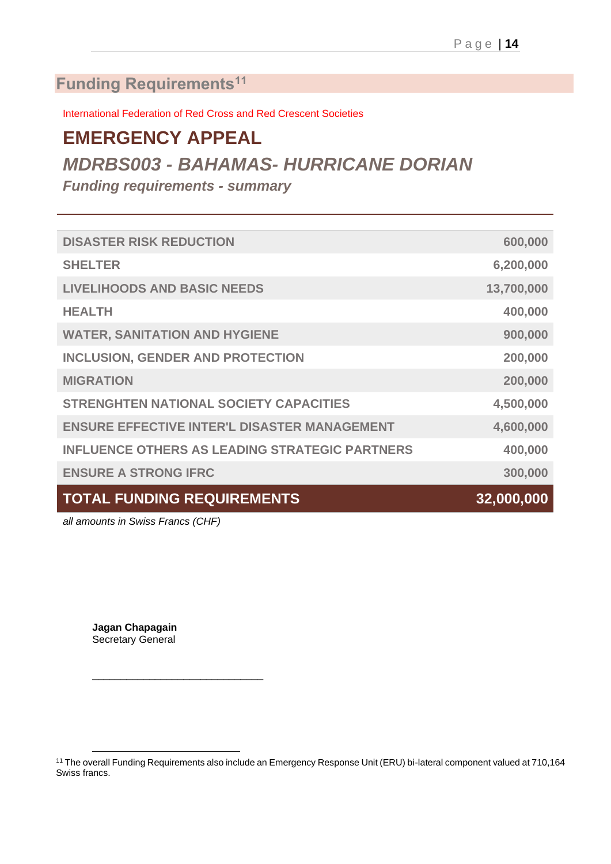# **Funding Requirements<sup>11</sup>**

International Federation of Red Cross and Red Crescent Societies

# **EMERGENCY APPEAL**

# *MDRBS003 - BAHAMAS- HURRICANE DORIAN*

*Funding requirements - summary*

| <b>TOTAL FUNDING REQUIREMENTS</b>                     | 32,000,000 |
|-------------------------------------------------------|------------|
| <b>ENSURE A STRONG IFRC</b>                           | 300,000    |
| <b>INFLUENCE OTHERS AS LEADING STRATEGIC PARTNERS</b> | 400,000    |
| <b>ENSURE EFFECTIVE INTER'L DISASTER MANAGEMENT</b>   | 4,600,000  |
| <b>STRENGHTEN NATIONAL SOCIETY CAPACITIES</b>         | 4,500,000  |
| <b>MIGRATION</b>                                      | 200,000    |
| <b>INCLUSION, GENDER AND PROTECTION</b>               | 200,000    |
| <b>WATER, SANITATION AND HYGIENE</b>                  | 900,000    |
| <b>HEALTH</b>                                         | 400,000    |
| <b>LIVELIHOODS AND BASIC NEEDS</b>                    | 13,700,000 |
| <b>SHELTER</b>                                        | 6,200,000  |
| <b>DISASTER RISK REDUCTION</b>                        | 600,000    |
|                                                       |            |

*all amounts in Swiss Francs (CHF)*

**Jagan Chapagain** Secretary General

\_\_\_\_\_\_\_\_\_\_\_\_\_\_\_\_\_\_\_\_\_\_\_\_\_\_\_\_\_\_

<sup>&</sup>lt;sup>11</sup> The overall Funding Requirements also include an Emergency Response Unit (ERU) bi-lateral component valued at 710,164 Swiss francs.